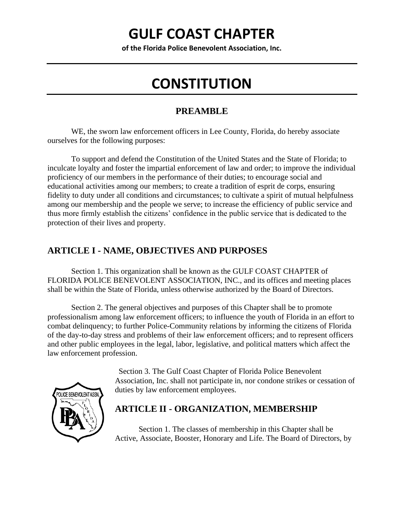# **GULF COAST CHAPTER**

**of the Florida Police Benevolent Association, Inc.**

# **CONSTITUTION**

### **PREAMBLE**

WE, the sworn law enforcement officers in Lee County, Florida, do hereby associate ourselves for the following purposes:

To support and defend the Constitution of the United States and the State of Florida; to inculcate loyalty and foster the impartial enforcement of law and order; to improve the individual proficiency of our members in the performance of their duties; to encourage social and educational activities among our members; to create a tradition of esprit de corps, ensuring fidelity to duty under all conditions and circumstances; to cultivate a spirit of mutual helpfulness among our membership and the people we serve; to increase the efficiency of public service and thus more firmly establish the citizens' confidence in the public service that is dedicated to the protection of their lives and property.

## **ARTICLE I - NAME, OBJECTIVES AND PURPOSES**

Section 1. This organization shall be known as the GULF COAST CHAPTER of FLORIDA POLICE BENEVOLENT ASSOCIATION, INC., and its offices and meeting places shall be within the State of Florida, unless otherwise authorized by the Board of Directors.

Section 2. The general objectives and purposes of this Chapter shall be to promote professionalism among law enforcement officers; to influence the youth of Florida in an effort to combat delinquency; to further Police-Community relations by informing the citizens of Florida of the day-to-day stress and problems of their law enforcement officers; and to represent officers and other public employees in the legal, labor, legislative, and political matters which affect the law enforcement profession.



Section 3. The Gulf Coast Chapter of Florida Police Benevolent Association, Inc. shall not participate in, nor condone strikes or cessation of duties by law enforcement employees.

### **ARTICLE II - ORGANIZATION, MEMBERSHIP**

Section 1. The classes of membership in this Chapter shall be Active, Associate, Booster, Honorary and Life. The Board of Directors, by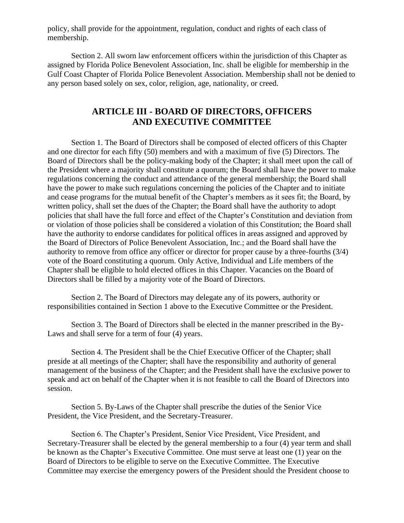policy, shall provide for the appointment, regulation, conduct and rights of each class of membership.

Section 2. All sworn law enforcement officers within the jurisdiction of this Chapter as assigned by Florida Police Benevolent Association, Inc. shall be eligible for membership in the Gulf Coast Chapter of Florida Police Benevolent Association. Membership shall not be denied to any person based solely on sex, color, religion, age, nationality, or creed.

### **ARTICLE III - BOARD OF DIRECTORS, OFFICERS AND EXECUTIVE COMMITTEE**

Section 1. The Board of Directors shall be composed of elected officers of this Chapter and one director for each fifty (50) members and with a maximum of five (5) Directors. The Board of Directors shall be the policy-making body of the Chapter; it shall meet upon the call of the President where a majority shall constitute a quorum; the Board shall have the power to make regulations concerning the conduct and attendance of the general membership; the Board shall have the power to make such regulations concerning the policies of the Chapter and to initiate and cease programs for the mutual benefit of the Chapter's members as it sees fit; the Board, by written policy, shall set the dues of the Chapter; the Board shall have the authority to adopt policies that shall have the full force and effect of the Chapter's Constitution and deviation from or violation of those policies shall be considered a violation of this Constitution; the Board shall have the authority to endorse candidates for political offices in areas assigned and approved by the Board of Directors of Police Benevolent Association, Inc.; and the Board shall have the authority to remove from office any officer or director for proper cause by a three-fourths (3/4) vote of the Board constituting a quorum. Only Active, Individual and Life members of the Chapter shall be eligible to hold elected offices in this Chapter. Vacancies on the Board of Directors shall be filled by a majority vote of the Board of Directors.

Section 2. The Board of Directors may delegate any of its powers, authority or responsibilities contained in Section 1 above to the Executive Committee or the President.

Section 3. The Board of Directors shall be elected in the manner prescribed in the By-Laws and shall serve for a term of four (4) years.

Section 4. The President shall be the Chief Executive Officer of the Chapter; shall preside at all meetings of the Chapter; shall have the responsibility and authority of general management of the business of the Chapter; and the President shall have the exclusive power to speak and act on behalf of the Chapter when it is not feasible to call the Board of Directors into session.

Section 5. By-Laws of the Chapter shall prescribe the duties of the Senior Vice President, the Vice President, and the Secretary-Treasurer.

Section 6. The Chapter's President, Senior Vice President, Vice President, and Secretary-Treasurer shall be elected by the general membership to a four (4) year term and shall be known as the Chapter's Executive Committee. One must serve at least one (1) year on the Board of Directors to be eligible to serve on the Executive Committee. The Executive Committee may exercise the emergency powers of the President should the President choose to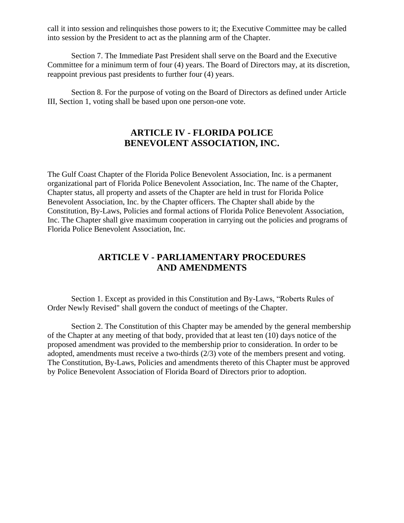call it into session and relinquishes those powers to it; the Executive Committee may be called into session by the President to act as the planning arm of the Chapter.

Section 7. The Immediate Past President shall serve on the Board and the Executive Committee for a minimum term of four (4) years. The Board of Directors may, at its discretion, reappoint previous past presidents to further four (4) years.

Section 8. For the purpose of voting on the Board of Directors as defined under Article III, Section 1, voting shall be based upon one person-one vote.

### **ARTICLE IV - FLORIDA POLICE BENEVOLENT ASSOCIATION, INC.**

The Gulf Coast Chapter of the Florida Police Benevolent Association, Inc. is a permanent organizational part of Florida Police Benevolent Association, Inc. The name of the Chapter, Chapter status, all property and assets of the Chapter are held in trust for Florida Police Benevolent Association, Inc. by the Chapter officers. The Chapter shall abide by the Constitution, By-Laws, Policies and formal actions of Florida Police Benevolent Association, Inc. The Chapter shall give maximum cooperation in carrying out the policies and programs of Florida Police Benevolent Association, Inc.

### **ARTICLE V - PARLIAMENTARY PROCEDURES AND AMENDMENTS**

Section 1. Except as provided in this Constitution and By-Laws, "Roberts Rules of Order Newly Revised" shall govern the conduct of meetings of the Chapter.

Section 2. The Constitution of this Chapter may be amended by the general membership of the Chapter at any meeting of that body, provided that at least ten (10) days notice of the proposed amendment was provided to the membership prior to consideration. In order to be adopted, amendments must receive a two-thirds (2/3) vote of the members present and voting. The Constitution, By-Laws, Policies and amendments thereto of this Chapter must be approved by Police Benevolent Association of Florida Board of Directors prior to adoption.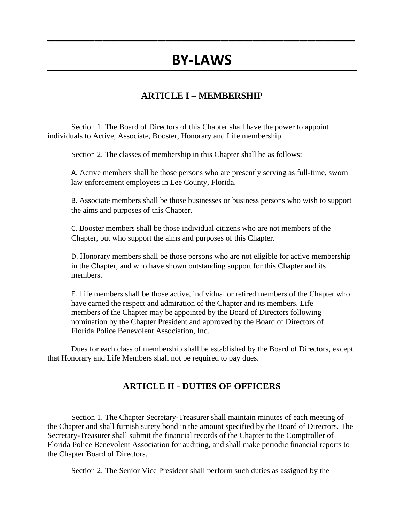# **BY-LAWS**

**\_\_\_\_\_\_\_\_\_\_\_\_\_\_\_\_\_\_\_\_\_\_\_\_\_\_\_\_\_\_\_\_\_\_\_\_\_\_\_**

### **ARTICLE I – MEMBERSHIP**

Section 1. The Board of Directors of this Chapter shall have the power to appoint individuals to Active, Associate, Booster, Honorary and Life membership.

Section 2. The classes of membership in this Chapter shall be as follows:

A. Active members shall be those persons who are presently serving as full-time, sworn law enforcement employees in Lee County, Florida.

B. Associate members shall be those businesses or business persons who wish to support the aims and purposes of this Chapter.

C. Booster members shall be those individual citizens who are not members of the Chapter, but who support the aims and purposes of this Chapter.

D. Honorary members shall be those persons who are not eligible for active membership in the Chapter, and who have shown outstanding support for this Chapter and its members.

E. Life members shall be those active, individual or retired members of the Chapter who have earned the respect and admiration of the Chapter and its members. Life members of the Chapter may be appointed by the Board of Directors following nomination by the Chapter President and approved by the Board of Directors of Florida Police Benevolent Association, Inc.

Dues for each class of membership shall be established by the Board of Directors, except that Honorary and Life Members shall not be required to pay dues.

### **ARTICLE II - DUTIES OF OFFICERS**

Section 1. The Chapter Secretary-Treasurer shall maintain minutes of each meeting of the Chapter and shall furnish surety bond in the amount specified by the Board of Directors. The Secretary-Treasurer shall submit the financial records of the Chapter to the Comptroller of Florida Police Benevolent Association for auditing, and shall make periodic financial reports to the Chapter Board of Directors.

Section 2. The Senior Vice President shall perform such duties as assigned by the